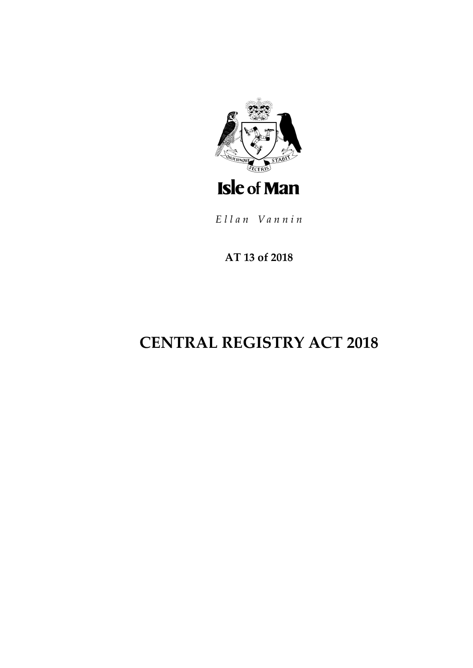

Ellan Vannin

AT 13 of 2018

# **CENTRAL REGISTRY ACT 2018**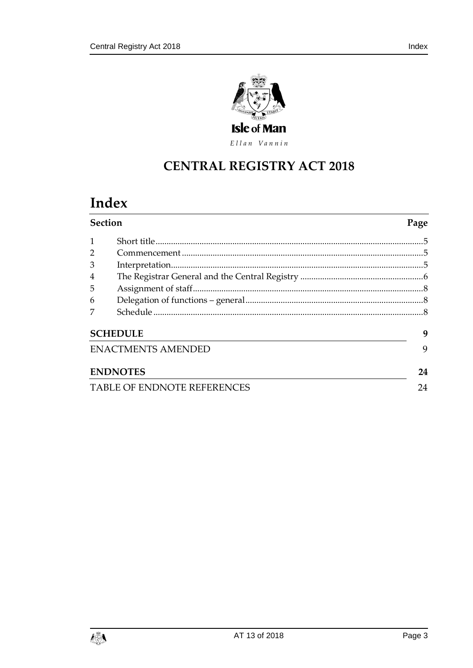

Ellan Vannin

## **CENTRAL REGISTRY ACT 2018**

## Index

| Section                            |                           | Page |
|------------------------------------|---------------------------|------|
| 1                                  |                           |      |
| $\overline{2}$                     |                           |      |
| 3                                  |                           |      |
| $\overline{4}$                     |                           |      |
| 5                                  |                           |      |
| 6                                  |                           |      |
| 7                                  |                           |      |
|                                    | <b>SCHEDULE</b>           | 9    |
|                                    | <b>ENACTMENTS AMENDED</b> | 9    |
|                                    | <b>ENDNOTES</b>           | 24   |
| <b>TABLE OF ENDNOTE REFERENCES</b> |                           |      |

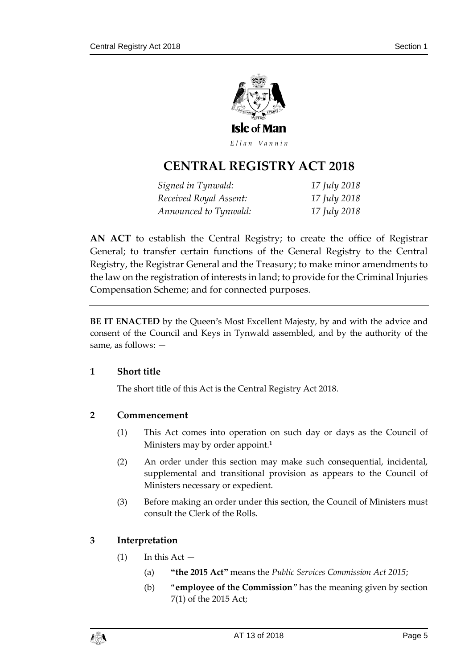

Ellan Vannin

## **CENTRAL REGISTRY ACT 2018**

| Signed in Tynwald:     | 17 July 2018 |
|------------------------|--------------|
| Received Royal Assent: | 17 July 2018 |
| Announced to Tynwald:  | 17 July 2018 |

**AN ACT** to establish the Central Registry; to create the office of Registrar General; to transfer certain functions of the General Registry to the Central Registry, the Registrar General and the Treasury; to make minor amendments to the law on the registration of interests in land; to provide for the Criminal Injuries Compensation Scheme; and for connected purposes.

**BE IT ENACTED** by the Queen's Most Excellent Majesty, by and with the advice and consent of the Council and Keys in Tynwald assembled, and by the authority of the same, as follows: —

#### <span id="page-4-0"></span>**1 Short title**

The short title of this Act is the Central Registry Act 2018.

#### <span id="page-4-1"></span>**2 Commencement**

- (1) This Act comes into operation on such day or days as the Council of Ministers may by order appoint.**<sup>1</sup>**
- (2) An order under this section may make such consequential, incidental, supplemental and transitional provision as appears to the Council of Ministers necessary or expedient.
- (3) Before making an order under this section, the Council of Ministers must consult the Clerk of the Rolls.

## <span id="page-4-2"></span>**3 Interpretation**

- $(1)$  In this Act  $-$ 
	- (a) **"the 2015 Act"** means the *Public Services Commission Act 2015*;
	- (b) "**employee of the Commission**" has the meaning given by section 7(1) of the 2015 Act;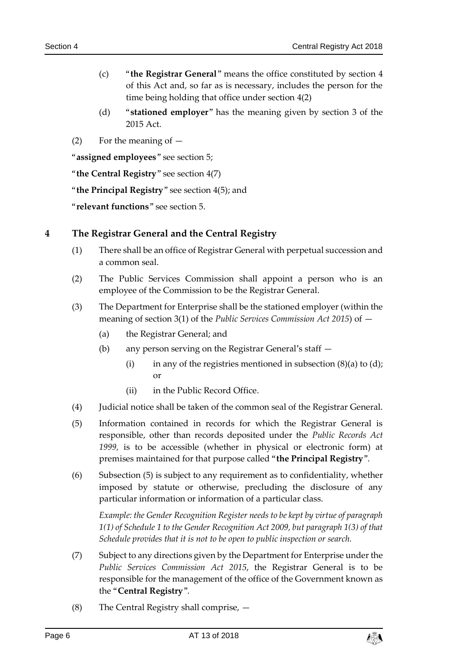- (c) "**the Registrar General**" means the office constituted by section [4](#page-5-0) of this Act and, so far as is necessary, includes the person for the time being holding that office under section [4\(2\)](#page-5-1)
- (d) "**stationed employer**" has the meaning given by section 3 of the 2015 Act.
- (2) For the meaning of  $-$

"**assigned employees**" see section 5;

"**the Central Registry**" see section [4\(7\)](#page-5-2)

"**the Principal Registry**" see section [4\(5\);](#page-5-3) and

"**relevant functions**" see section 5.

#### <span id="page-5-0"></span>**4 The Registrar General and the Central Registry**

- (1) There shall be an office of Registrar General with perpetual succession and a common seal.
- <span id="page-5-1"></span>(2) The Public Services Commission shall appoint a person who is an employee of the Commission to be the Registrar General.
- (3) The Department for Enterprise shall be the stationed employer (within the meaning of section 3(1) of the *Public Services Commission Act 2015*) of —
	- (a) the Registrar General; and
	- (b) any person serving on the Registrar General's staff
		- (i) in any of the registries mentioned in subsection  $(8)(a)$  to  $(d)$ ; or
		- (ii) in the Public Record Office.
- (4) Judicial notice shall be taken of the common seal of the Registrar General.
- <span id="page-5-3"></span>(5) Information contained in records for which the Registrar General is responsible, other than records deposited under the *Public Records Act 1999,* is to be accessible (whether in physical or electronic form) at premises maintained for that purpose called "**the Principal Registry**".
- (6) Subsection [\(5\)](#page-5-3) is subject to any requirement as to confidentiality, whether imposed by statute or otherwise, precluding the disclosure of any particular information or information of a particular class.

*Example: the Gender Recognition Register needs to be kept by virtue of paragraph 1(1) of Schedule 1 to the Gender Recognition Act 2009, but paragraph 1(3) of that Schedule provides that it is not to be open to public inspection or search.*

- <span id="page-5-2"></span>(7) Subject to any directions given by the Department for Enterprise under the *Public Services Commission Act 2015*, the Registrar General is to be responsible for the management of the office of the Government known as the "**Central Registry**".
- (8) The Central Registry shall comprise, —

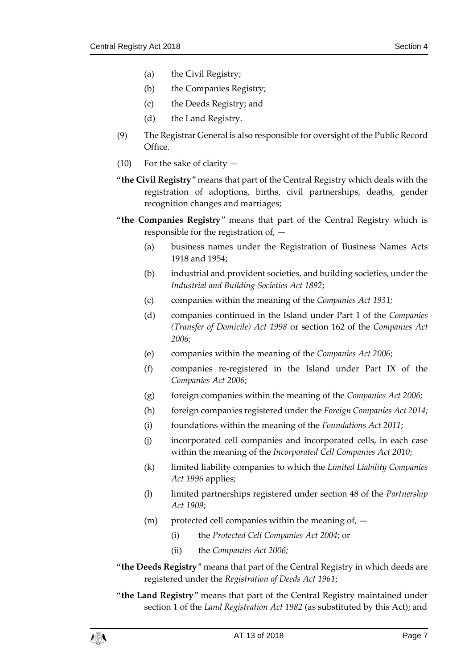- (a) the Civil Registry;
- (b) the Companies Registry;
- (c) the Deeds Registry; and
- (d) the Land Registry.
- (9) The Registrar General is also responsible for oversight of the Public Record Office.
- (10) For the sake of clarity  $-$
- "**the Civil Registry**" means that part of the Central Registry which deals with the registration of adoptions, births, civil partnerships, deaths, gender recognition changes and marriages;
- "**the Companies Registry**" means that part of the Central Registry which is responsible for the registration of, —
	- (a) business names under the Registration of Business Names Acts 1918 and 1954;
	- (b) industrial and provident societies, and building societies, under the *Industrial and Building Societies Act 1892*;
	- (c) companies within the meaning of the *Companies Act 1931;*
	- (d) companies continued in the Island under Part 1 of the *Companies (Transfer of Domicile) Act 1998* or section 162 of the *Companies Act 2006*;
	- (e) companies within the meaning of the *Companies Act 2006*;
	- (f) companies re-registered in the Island under Part IX of the *Companies Act 2006*;
	- (g) foreign companies within the meaning of the *Companies Act 2006;*
	- (h) foreign companies registered under the *Foreign Companies Act 2014;*
	- (i) foundations within the meaning of the *Foundations Act 2011*;
	- (j) incorporated cell companies and incorporated cells, in each case within the meaning of the *Incorporated Cell Companies Act 2010*;
	- (k) limited liability companies to which the *Limited Liability Companies Act 1996* applies;
	- (l) limited partnerships registered under section 48 of the *Partnership Act 1909*;
	- $(m)$  protected cell companies within the meaning of,  $-$ 
		- (i) the *Protected Cell Companies Act 2004*; or
		- (ii) the *Companies Act 2006;*
- "**the Deeds Registry**" means that part of the Central Registry in which deeds are registered under the *Registration of Deeds Act 1961*;
- "**the Land Registry**" means that part of the Central Registry maintained under section 1 of the *Land Registration Act 1982* (as substituted by this Act); and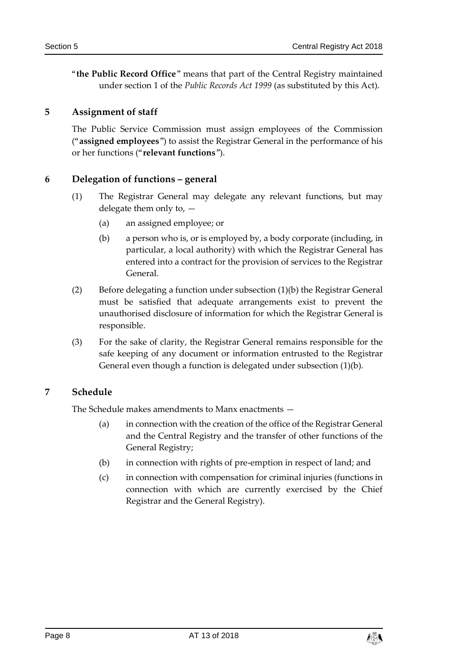"**the Public Record Office**" means that part of the Central Registry maintained under section 1 of the *Public Records Act 1999* (as substituted by this Act).

#### <span id="page-7-0"></span>**5 Assignment of staff**

The Public Service Commission must assign employees of the Commission ("**assigned employees**") to assist the Registrar General in the performance of his or her functions ("**relevant functions**").

### <span id="page-7-1"></span>**6 Delegation of functions – general**

- (1) The Registrar General may delegate any relevant functions, but may delegate them only to, —
	- (a) an assigned employee; or
	- (b) a person who is, or is employed by, a body corporate (including, in particular, a local authority) with which the Registrar General has entered into a contract for the provision of services to the Registrar General.
- (2) Before delegating a function under subsection (1)(b) the Registrar General must be satisfied that adequate arrangements exist to prevent the unauthorised disclosure of information for which the Registrar General is responsible.
- (3) For the sake of clarity, the Registrar General remains responsible for the safe keeping of any document or information entrusted to the Registrar General even though a function is delegated under subsection (1)(b).

## <span id="page-7-2"></span>**7 Schedule**

The Schedule makes amendments to Manx enactments —

- (a) in connection with the creation of the office of the Registrar General and the Central Registry and the transfer of other functions of the General Registry;
- (b) in connection with rights of pre-emption in respect of land; and
- (c) in connection with compensation for criminal injuries (functions in connection with which are currently exercised by the Chief Registrar and the General Registry).

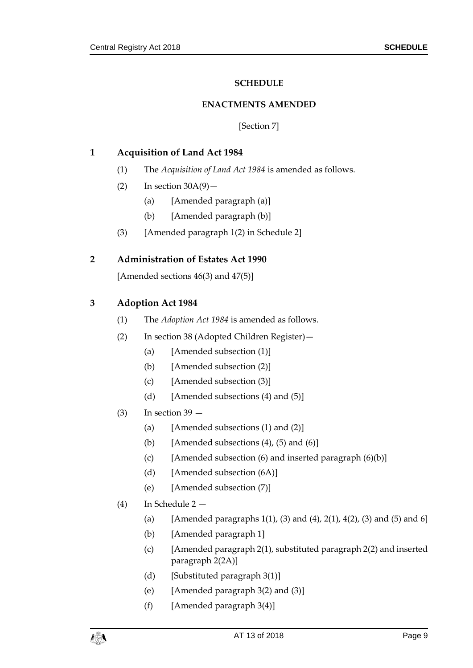#### **SCHEDULE**

#### **ENACTMENTS AMENDED**

[Section [7\]](#page-7-2)

#### <span id="page-8-1"></span><span id="page-8-0"></span>**1 Acquisition of Land Act 1984**

- (1) The *Acquisition of Land Act 1984* is amended as follows.
- $\text{(2)}$  In section  $30A(9)$  -
	- (a) [Amended paragraph (a)]
	- (b) [Amended paragraph (b)]
- (3) [Amended paragraph 1(2) in Schedule 2]

#### **2 Administration of Estates Act 1990**

[Amended sections  $46(3)$  and  $47(5)$ ]

#### **3 Adoption Act 1984**

- (1) The *Adoption Act 1984* is amended as follows.
- (2) In section 38 (Adopted Children Register)—
	- (a) [Amended subsection (1)]
	- (b) [Amended subsection (2)]
	- (c) [Amended subsection (3)]
	- (d) [Amended subsections  $(4)$  and  $(5)$ ]
- $(3)$  In section 39
	- (a) [Amended subsections  $(1)$  and  $(2)$ ]
	- (b) [Amended subsections  $(4)$ ,  $(5)$  and  $(6)$ ]
	- (c) [Amended subsection  $(6)$  and inserted paragraph  $(6)(b)$ ]
	- (d) [Amended subsection (6A)]
	- (e) [Amended subsection (7)]
- (4) In Schedule 2
	- (a) [Amended paragraphs 1(1), (3) and (4), 2(1), 4(2), (3) and (5) and 6]
	- (b) [Amended paragraph 1]
	- (c) [Amended paragraph 2(1), substituted paragraph 2(2) and inserted paragraph 2(2A)]
	- (d) [Substituted paragraph 3(1)]
	- (e) [Amended paragraph 3(2) and (3)]
	- $(f)$  [Amended paragraph 3(4)]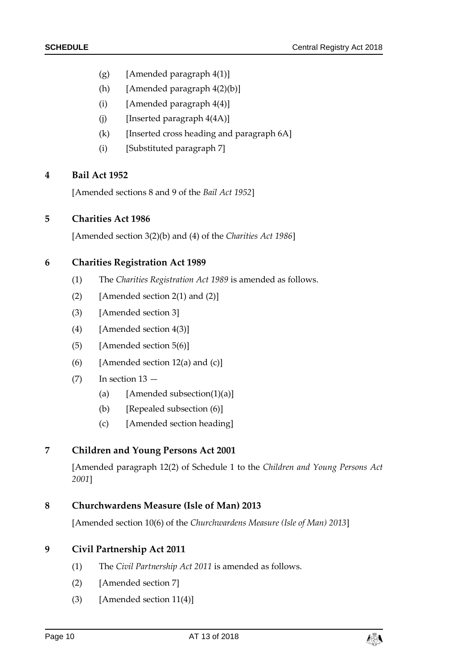- (g) [Amended paragraph 4(1)]
- (h) [Amended paragraph 4(2)(b)]
- (i) [Amended paragraph  $4(4)$ ]
- $(i)$  [Inserted paragraph  $4(4A)$ ]
- (k) [Inserted cross heading and paragraph 6A]
- (i) [Substituted paragraph 7]

#### **4 Bail Act 1952**

[Amended sections 8 and 9 of the *Bail Act 1952*]

#### **5 Charities Act 1986**

[Amended section 3(2)(b) and (4) of the *Charities Act 1986*]

#### **6 Charities Registration Act 1989**

- (1) The *Charities Registration Act 1989* is amended as follows.
- (2) [Amended section 2(1) and  $(2)$ ]
- (3) [Amended section 3]
- (4) [Amended section 4(3)]
- (5) [Amended section 5(6)]
- (6) [Amended section  $12(a)$  and  $(c)$ ]
- $(7)$  In section  $13 -$ 
	- (a) [Amended subsection(1)(a)]
	- (b) [Repealed subsection (6)]
	- (c) [Amended section heading]

#### **7 Children and Young Persons Act 2001**

[Amended paragraph 12(2) of Schedule 1 to the *Children and Young Persons Act 2001*]

#### **8 Churchwardens Measure (Isle of Man) 2013**

[Amended section 10(6) of the *Churchwardens Measure (Isle of Man) 2013*]

## **9 Civil Partnership Act 2011**

- (1) The *Civil Partnership Act 2011* is amended as follows.
- (2) [Amended section 7]
- (3) [Amended section 11(4)]

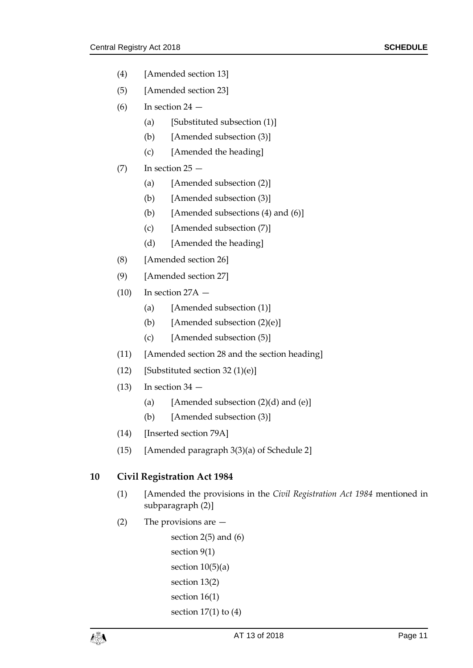- (4) [Amended section 13]
- (5) [Amended section 23]
- $(6)$  In section 24
	- (a) [Substituted subsection (1)]
	- (b) [Amended subsection (3)]
	- (c) [Amended the heading]
- $(7)$  In section  $25 -$ 
	- (a) [Amended subsection (2)]
	- (b) [Amended subsection (3)]
	- (b) [Amended subsections  $(4)$  and  $(6)$ ]
	- (c) [Amended subsection (7)]
	- (d) [Amended the heading]
- (8) [Amended section 26]
- (9) [Amended section 27]
- $(10)$  In section 27A  $-$ 
	- (a) [Amended subsection (1)]
	- (b) [Amended subsection (2)(e)]
	- (c) [Amended subsection (5)]
- (11) [Amended section 28 and the section heading]
- (12) [Substituted section 32 (1)(e)]
- $(13)$  In section 34
	- (a) [Amended subsection  $(2)(d)$  and  $(e)$ ]
	- (b) [Amended subsection (3)]
- (14) [Inserted section 79A]
- (15) [Amended paragraph 3(3)(a) of Schedule 2]

#### **10 Civil Registration Act 1984**

- (1) [Amended the provisions in the *Civil Registration Act 1984* mentioned in subparagraph (2)]
- (2) The provisions are —

```
section 2(5) and (6) 
section 9(1)
section 10(5)(a)section 13(2)
section 16(1)
section 17(1) to (4)
```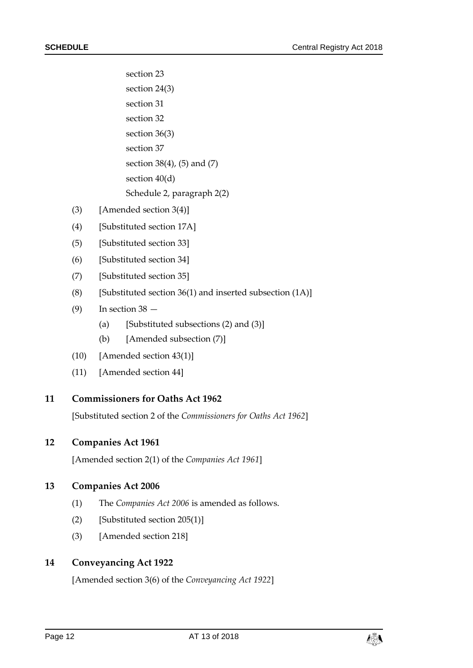section 23 section 24(3) section 31 section 32 section 36(3) section 37 section 38(4), (5) and (7) section 40(d) Schedule 2, paragraph 2(2)

- (3) [Amended section 3(4)]
- (4) [Substituted section 17A]
- (5) [Substituted section 33]
- (6) [Substituted section 34]
- (7) [Substituted section 35]
- (8) [Substituted section  $36(1)$  and inserted subsection  $(1A)$ ]
- $(9)$  In section 38
	- (a) [Substituted subsections  $(2)$  and  $(3)$ ]
	- (b) [Amended subsection (7)]
- (10) [Amended section 43(1)]
- (11) [Amended section 44]

#### **11 Commissioners for Oaths Act 1962**

[Substituted section 2 of the *Commissioners for Oaths Act 1962*]

#### **12 Companies Act 1961**

[Amended section 2(1) of the *Companies Act 1961*]

#### **13 Companies Act 2006**

- (1) The *Companies Act 2006* is amended as follows.
- (2) [Substituted section 205(1)]
- (3) [Amended section 218]

#### **14 Conveyancing Act 1922**

[Amended section 3(6) of the *Conveyancing Act 1922*]

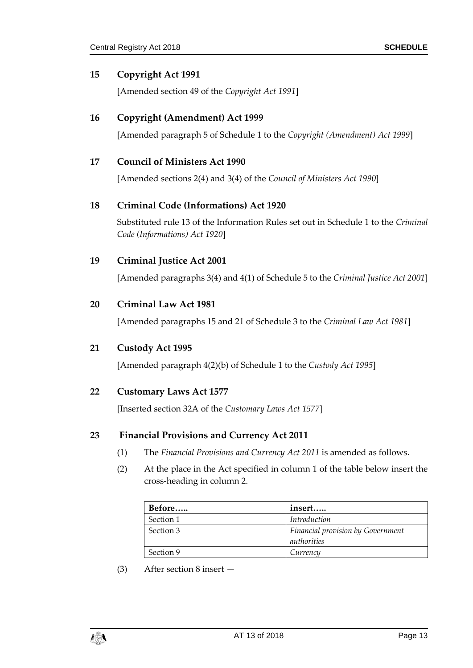#### **15 Copyright Act 1991**

[Amended section 49 of the *Copyright Act 1991*]

#### **16 Copyright (Amendment) Act 1999**

[Amended paragraph 5 of Schedule 1 to the *Copyright (Amendment) Act 1999*]

#### **17 Council of Ministers Act 1990**

[Amended sections 2(4) and 3(4) of the *Council of Ministers Act 1990*]

#### **18 Criminal Code (Informations) Act 1920**

Substituted rule 13 of the Information Rules set out in Schedule 1 to the *Criminal Code (Informations) Act 1920*]

#### **19 Criminal Justice Act 2001**

[Amended paragraphs 3(4) and 4(1) of Schedule 5 to the *Criminal Justice Act 2001*]

#### **20 Criminal Law Act 1981**

[Amended paragraphs 15 and 21 of Schedule 3 to the *Criminal Law Act 1981*]

#### **21 Custody Act 1995**

[Amended paragraph 4(2)(b) of Schedule 1 to the *Custody Act 1995*]

#### **22 Customary Laws Act 1577**

[Inserted section 32A of the *Customary Laws Act 1577*]

#### **23 Financial Provisions and Currency Act 2011**

- (1) The *Financial Provisions and Currency Act 2011* is amended as follows.
- (2) At the place in the Act specified in column 1 of the table below insert the cross-heading in column 2.

| Before    | insert                                   |
|-----------|------------------------------------------|
| Section 1 | Introduction                             |
| Section 3 | <b>Financial provision by Government</b> |
|           | authorities                              |
| Section 9 | Currencu                                 |

(3) After section 8 insert —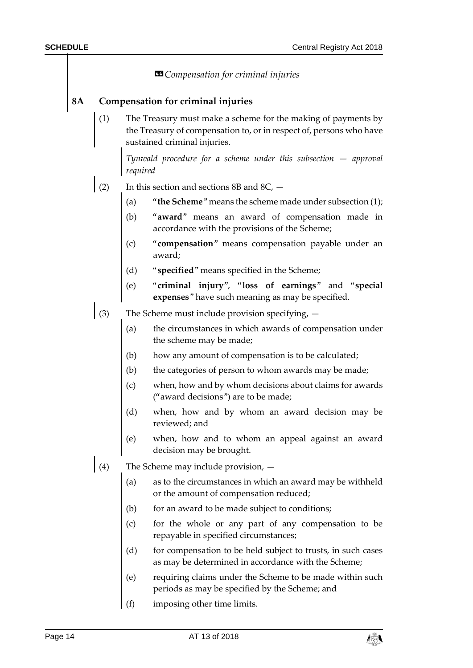| <b>S</b> Compensation for criminal injuries |                                            |                                                                                                                                                                      |  |  |  |
|---------------------------------------------|--------------------------------------------|----------------------------------------------------------------------------------------------------------------------------------------------------------------------|--|--|--|
| 8A                                          | Compensation for criminal injuries         |                                                                                                                                                                      |  |  |  |
|                                             | (1)                                        | The Treasury must make a scheme for the making of payments by<br>the Treasury of compensation to, or in respect of, persons who have<br>sustained criminal injuries. |  |  |  |
|                                             |                                            | Tynwald procedure for a scheme under this subsection $-$ approval<br>required                                                                                        |  |  |  |
|                                             | (2)                                        | In this section and sections 8B and 8C, -                                                                                                                            |  |  |  |
|                                             |                                            | "the Scheme" means the scheme made under subsection $(1)$ ;<br>(a)                                                                                                   |  |  |  |
|                                             |                                            | "award" means an award of compensation made in<br>(b)<br>accordance with the provisions of the Scheme;                                                               |  |  |  |
|                                             |                                            | "compensation" means compensation payable under an<br>(c)<br>award;                                                                                                  |  |  |  |
|                                             |                                            | (d) "specified" means specified in the Scheme;                                                                                                                       |  |  |  |
|                                             |                                            | (e)<br>"criminal injury", "loss of earnings" and "special<br>expenses" have such meaning as may be specified.                                                        |  |  |  |
|                                             | (3)                                        | The Scheme must include provision specifying, -                                                                                                                      |  |  |  |
|                                             |                                            | the circumstances in which awards of compensation under<br>(a)<br>the scheme may be made;                                                                            |  |  |  |
|                                             |                                            | (b)<br>how any amount of compensation is to be calculated;                                                                                                           |  |  |  |
|                                             |                                            | (b)<br>the categories of person to whom awards may be made;                                                                                                          |  |  |  |
|                                             |                                            | when, how and by whom decisions about claims for awards<br>(c)<br>("award decisions") are to be made;                                                                |  |  |  |
|                                             |                                            | (d)<br>when, how and by whom an award decision may be<br>reviewed; and                                                                                               |  |  |  |
|                                             |                                            | when, how and to whom an appeal against an award<br>(e)<br>decision may be brought.                                                                                  |  |  |  |
|                                             | (4)<br>The Scheme may include provision, - |                                                                                                                                                                      |  |  |  |
|                                             |                                            | (a)<br>as to the circumstances in which an award may be withheld<br>or the amount of compensation reduced;                                                           |  |  |  |
|                                             |                                            | (b)<br>for an award to be made subject to conditions;                                                                                                                |  |  |  |
|                                             |                                            | (c)<br>for the whole or any part of any compensation to be<br>repayable in specified circumstances;                                                                  |  |  |  |
|                                             |                                            | (d)<br>for compensation to be held subject to trusts, in such cases<br>as may be determined in accordance with the Scheme;                                           |  |  |  |
|                                             |                                            | (e)<br>requiring claims under the Scheme to be made within such<br>periods as may be specified by the Scheme; and                                                    |  |  |  |
|                                             |                                            | (f)<br>imposing other time limits.                                                                                                                                   |  |  |  |

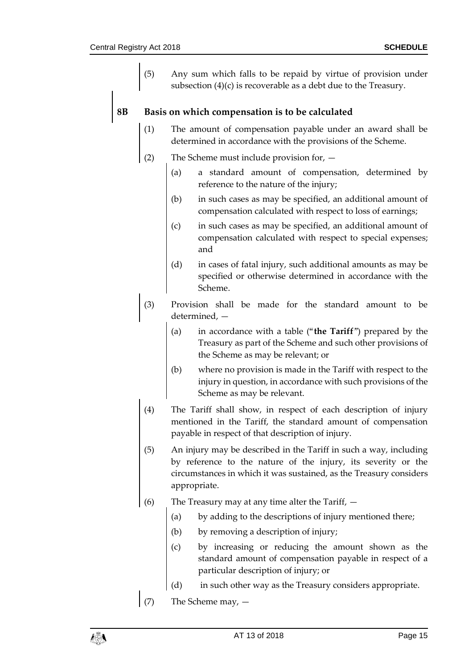(5) Any sum which falls to be repaid by virtue of provision under subsection (4)(c) is recoverable as a debt due to the Treasury.

#### **8B Basis on which compensation is to be calculated**

- (1) The amount of compensation payable under an award shall be determined in accordance with the provisions of the Scheme.
- (2) The Scheme must include provision for,
	- (a) a standard amount of compensation, determined by reference to the nature of the injury;
	- (b) in such cases as may be specified, an additional amount of compensation calculated with respect to loss of earnings;
	- (c) in such cases as may be specified, an additional amount of compensation calculated with respect to special expenses; and
	- (d) in cases of fatal injury, such additional amounts as may be specified or otherwise determined in accordance with the Scheme.
- (3) Provision shall be made for the standard amount to be determined, —
	- (a) in accordance with a table ("**the Tariff**") prepared by the Treasury as part of the Scheme and such other provisions of the Scheme as may be relevant; or
	- (b) where no provision is made in the Tariff with respect to the injury in question, in accordance with such provisions of the Scheme as may be relevant.
- (4) The Tariff shall show, in respect of each description of injury mentioned in the Tariff, the standard amount of compensation payable in respect of that description of injury.
- (5) An injury may be described in the Tariff in such a way, including by reference to the nature of the injury, its severity or the circumstances in which it was sustained, as the Treasury considers appropriate.
- (6) The Treasury may at any time alter the Tariff,
	- (a) by adding to the descriptions of injury mentioned there;
	- (b) by removing a description of injury;
	- (c) by increasing or reducing the amount shown as the standard amount of compensation payable in respect of a particular description of injury; or
	- (d) in such other way as the Treasury considers appropriate.
- (7) The Scheme may,  $-$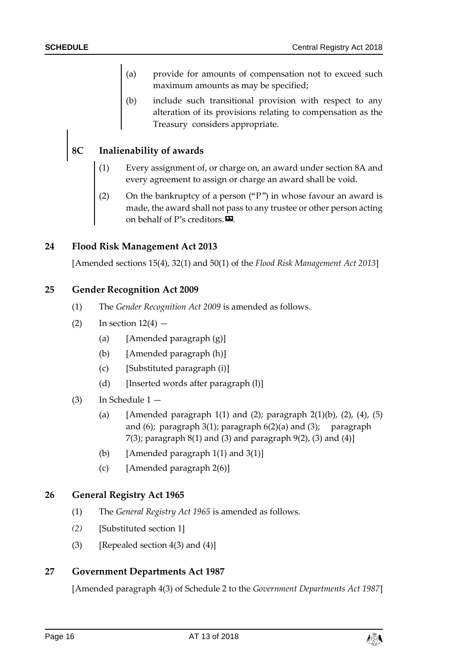- (a) provide for amounts of compensation not to exceed such maximum amounts as may be specified;
- (b) include such transitional provision with respect to any alteration of its provisions relating to compensation as the Treasury considers appropriate.

## **8C Inalienability of awards**

- (1) Every assignment of, or charge on, an award under section 8A and every agreement to assign or charge an award shall be void.
- (2) On the bankruptcy of a person ("P") in whose favour an award is made, the award shall not pass to any trustee or other person acting on behalf of P's creditors. $\boldsymbol{\mathsf{E}}$ .

#### **24 Flood Risk Management Act 2013**

[Amended sections 15(4), 32(1) and 50(1) of the *Flood Risk Management Act 2013*]

#### **25 Gender Recognition Act 2009**

- (1) The *Gender Recognition Act 2009* is amended as follows.
- $(2)$  In section  $12(4)$ 
	- (a) [Amended paragraph (g)]
	- (b) [Amended paragraph (h)]
	- (c) [Substituted paragraph (i)]
	- (d) [Inserted words after paragraph (l)]
- (3) In Schedule 1
	- (a) [Amended paragraph 1(1) and (2); paragraph 2(1)(b), (2), (4), (5) and  $(6)$ ; paragraph  $3(1)$ ; paragraph  $6(2)(a)$  and  $(3)$ ; paragraph 7(3); paragraph  $8(1)$  and (3) and paragraph  $9(2)$ , (3) and (4)]
	- (b) [Amended paragraph  $1(1)$  and  $3(1)$ ]
	- (c) [Amended paragraph  $2(6)$ ]

#### **26 General Registry Act 1965**

- (1) The *General Registry Act 1965* is amended as follows.
- *(2)* [Substituted section 1]
- (3) [Repealed section  $4(3)$  and  $(4)$ ]

#### **27 Government Departments Act 1987**

[Amended paragraph 4(3) of Schedule 2 to the *Government Departments Act 1987*]

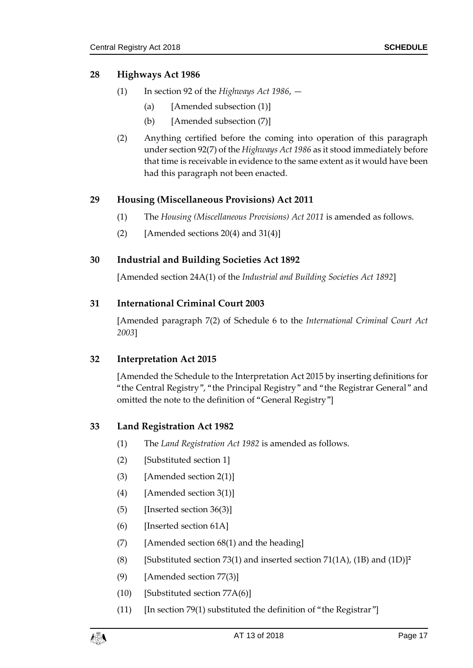#### **28 Highways Act 1986**

- (1) In section 92 of the *Highways Act 1986*,
	- (a) [Amended subsection (1)]
	- (b) [Amended subsection (7)]
- (2) Anything certified before the coming into operation of this paragraph under section 92(7) of the *Highways Act 1986* as it stood immediately before that time is receivable in evidence to the same extent as it would have been had this paragraph not been enacted.

#### **29 Housing (Miscellaneous Provisions) Act 2011**

- (1) The *Housing (Miscellaneous Provisions) Act 2011* is amended as follows.
- (2) [Amended sections  $20(4)$  and  $31(4)$ ]

#### **30 Industrial and Building Societies Act 1892**

[Amended section 24A(1) of the *Industrial and Building Societies Act 1892*]

#### **31 International Criminal Court 2003**

[Amended paragraph 7(2) of Schedule 6 to the *International Criminal Court Act 2003*]

#### **32 Interpretation Act 2015**

[Amended the Schedule to the Interpretation Act 2015 by inserting definitions for "the Central Registry", "the Principal Registry" and "the Registrar General" and omitted the note to the definition of "General Registry"]

#### **33 Land Registration Act 1982**

- (1) The *Land Registration Act 1982* is amended as follows.
- (2) [Substituted section 1]
- (3) [Amended section 2(1)]
- (4) [Amended section 3(1)]
- $(5)$  [Inserted section 36(3)]
- (6) [Inserted section 61A]
- (7) [Amended section 68(1) and the heading]
- (8) [Substituted section 73(1) and inserted section 71(1A), (1B) and (1D)]**<sup>2</sup>**
- (9) [Amended section 77(3)]
- (10) [Substituted section 77A(6)]
- (11) [In section 79(1) substituted the definition of "the Registrar"]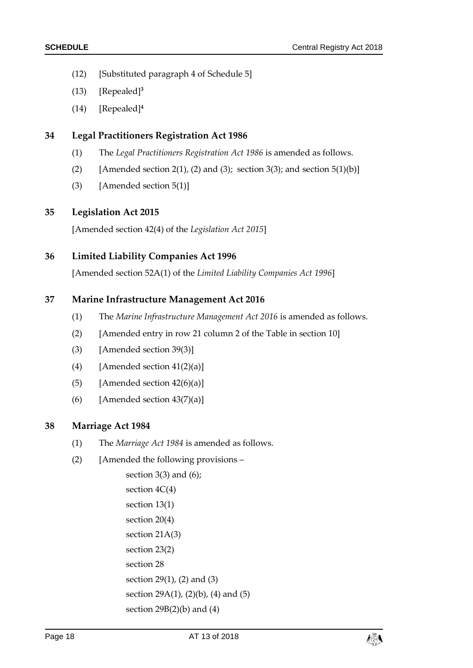- (12) [Substituted paragraph 4 of Schedule 5]
- (13) [Repealed]**<sup>3</sup>**
- (14) [Repealed] **4**

#### **34 Legal Practitioners Registration Act 1986**

- (1) The *Legal Practitioners Registration Act 1986* is amended as follows.
- (2) [Amended section 2(1), (2) and (3); section 3(3); and section  $5(1)(b)$ ]
- (3) [Amended section 5(1)]

#### **35 Legislation Act 2015**

[Amended section 42(4) of the *Legislation Act 2015*]

#### **36 Limited Liability Companies Act 1996**

[Amended section 52A(1) of the *Limited Liability Companies Act 1996*]

#### **37 Marine Infrastructure Management Act 2016**

- (1) The *Marine Infrastructure Management Act 2016* is amended as follows.
- (2) [Amended entry in row 21 column 2 of the Table in section 10]
- (3) [Amended section 39(3)]
- (4) [Amended section  $41(2)(a)$ ]
- (5) [Amended section  $42(6)(a)$ ]
- (6) [Amended section  $43(7)(a)$ ]

#### **38 Marriage Act 1984**

- (1) The *Marriage Act 1984* is amended as follows.
- (2) [Amended the following provisions –

section  $3(3)$  and  $(6)$ ; section 4C(4) section 13(1) section 20(4) section 21A(3) section 23(2) section 28 section 29(1), (2) and (3) section 29A(1), (2)(b), (4) and (5) section  $29B(2)(b)$  and  $(4)$ 

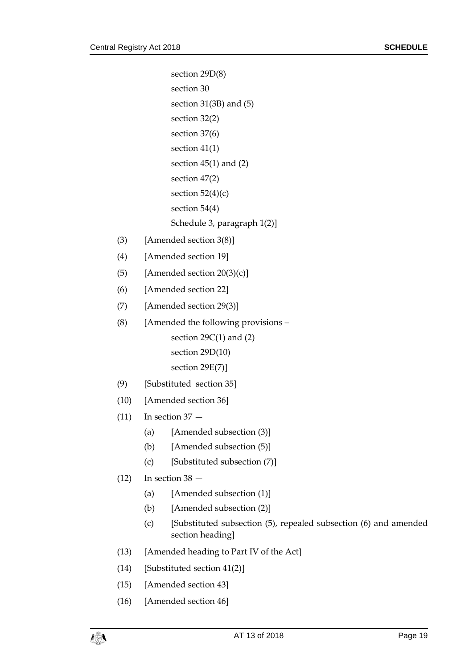section 29D(8) section 30 section 31(3B) and (5) section 32(2) section 37(6) section 41(1) section 45(1) and (2) section 47(2) section  $52(4)(c)$ section 54(4) Schedule 3, paragraph 1(2)] (3) [Amended section 3(8)] (4) [Amended section 19] (5) [Amended section  $20(3)(c)$ ] (6) [Amended section 22] (7) [Amended section 29(3)] (8) [Amended the following provisions – section  $29C(1)$  and  $(2)$ section 29D(10) section 29E(7)] (9) [Substituted section 35] (10) [Amended section 36]  $(11)$  In section  $37 -$ (a) [Amended subsection (3)] (b) [Amended subsection (5)] (c) [Substituted subsection (7)]  $(12)$  In section 38 – (a) [Amended subsection (1)] (b) [Amended subsection (2)] (c) [Substituted subsection (5), repealed subsection (6) and amended section heading] (13) [Amended heading to Part IV of the Act] (14) [Substituted section 41(2)]

- (15) [Amended section 43]
- (16) [Amended section 46]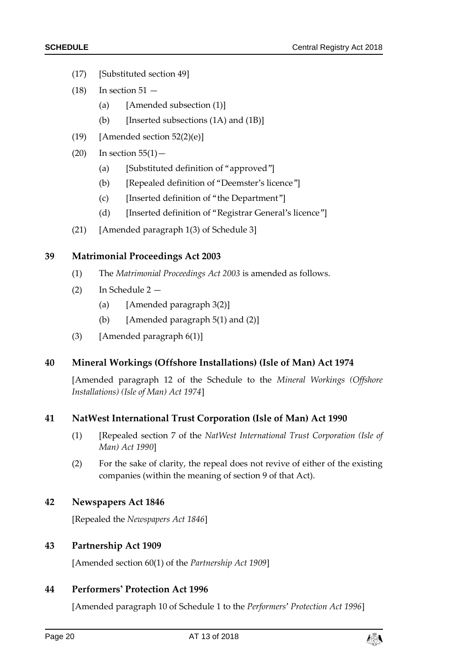- (17) [Substituted section 49]
- $(18)$  In section  $51 -$ 
	- (a) [Amended subsection (1)]
	- (b) [Inserted subsections  $(1A)$  and  $(1B)$ ]
- (19) [Amended section  $52(2)(e)$ ]
- $(20)$  In section  $55(1)$  -
	- (a) [Substituted definition of "approved"]
	- (b) [Repealed definition of "Deemster's licence"]
	- (c) [Inserted definition of "the Department"]
	- (d) [Inserted definition of "Registrar General's licence"]
- (21) [Amended paragraph 1(3) of Schedule 3]

#### **39 Matrimonial Proceedings Act 2003**

- (1) The *Matrimonial Proceedings Act 2003* is amended as follows.
- (2) In Schedule 2
	- (a) [Amended paragraph 3(2)]
	- (b) [Amended paragraph  $5(1)$  and  $(2)$ ]
- (3) [Amended paragraph  $6(1)$ ]

#### **40 Mineral Workings (Offshore Installations) (Isle of Man) Act 1974**

[Amended paragraph 12 of the Schedule to the *Mineral Workings (Offshore Installations) (Isle of Man) Act 1974*]

#### **41 NatWest International Trust Corporation (Isle of Man) Act 1990**

- (1) [Repealed section 7 of the *NatWest International Trust Corporation (Isle of Man) Act 1990*]
- (2) For the sake of clarity, the repeal does not revive of either of the existing companies (within the meaning of section 9 of that Act).

#### **42 Newspapers Act 1846**

[Repealed the *Newspapers Act 1846*]

#### **43 Partnership Act 1909**

[Amended section 60(1) of the *Partnership Act 1909*]

#### **44 Performers' Protection Act 1996**

[Amended paragraph 10 of Schedule 1 to the *Performers' Protection Act 1996*]

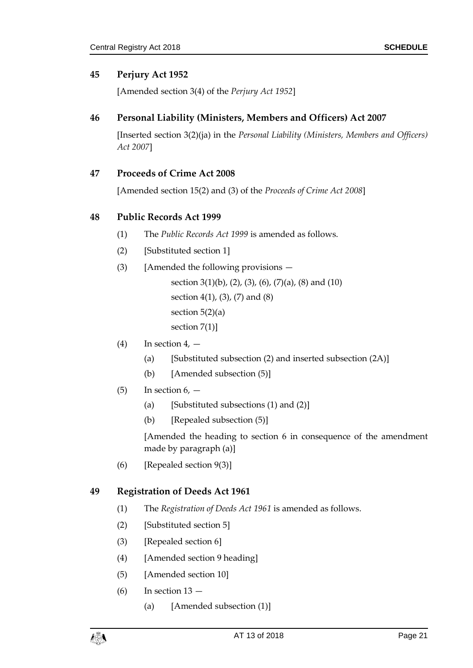#### **45 Perjury Act 1952**

[Amended section 3(4) of the *Perjury Act 1952*]

#### **46 Personal Liability (Ministers, Members and Officers) Act 2007**

[Inserted section 3(2)(ja) in the *Personal Liability (Ministers, Members and Officers) Act 2007*]

#### **47 Proceeds of Crime Act 2008**

[Amended section 15(2) and (3) of the *Proceeds of Crime Act 2008*]

#### **48 Public Records Act 1999**

- (1) The *Public Records Act 1999* is amended as follows.
- (2) [Substituted section 1]
- (3) [Amended the following provisions
	- section 3(1)(b), (2), (3), (6), (7)(a), (8) and (10) section 4(1), (3), (7) and (8) section  $5(2)(a)$ section 7(1)]
- $(4)$  In section 4,  $-$ 
	- (a) [Substituted subsection  $(2)$  and inserted subsection  $(2A)$ ]
	- (b) [Amended subsection (5)]
- $(5)$  In section  $6, -$ 
	- (a) [Substituted subsections  $(1)$  and  $(2)$ ]
	- (b) [Repealed subsection (5)]

[Amended the heading to section 6 in consequence of the amendment made by paragraph (a)]

(6) [Repealed section 9(3)]

#### **49 Registration of Deeds Act 1961**

- (1) The *Registration of Deeds Act 1961* is amended as follows.
- (2) [Substituted section 5]
- (3) [Repealed section 6]
- (4) [Amended section 9 heading]
- (5) [Amended section 10]
- $(6)$  In section  $13 -$ 
	- (a) [Amended subsection (1)]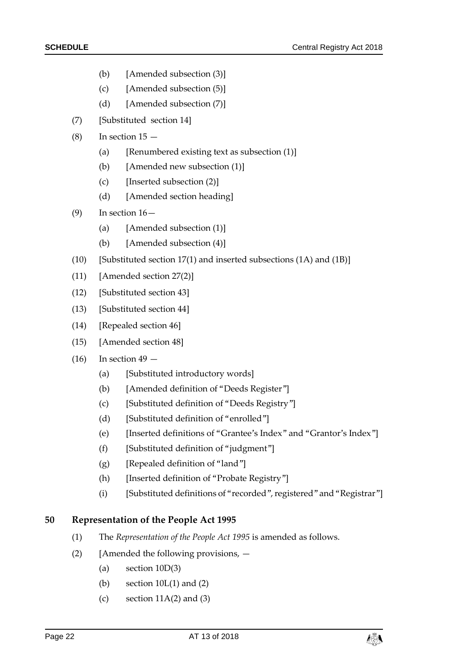- (b) [Amended subsection (3)]
- (c) [Amended subsection (5)]
- (d) [Amended subsection (7)]
- (7) [Substituted section 14]
- $(8)$  In section  $15 -$ 
	- (a) [Renumbered existing text as subsection  $(1)$ ]
	- (b) [Amended new subsection (1)]
	- (c) [Inserted subsection (2)]
	- (d) [Amended section heading]
- $(9)$  In section  $16-$ 
	- (a) [Amended subsection (1)]
	- (b) [Amended subsection (4)]
- (10) [Substituted section 17(1) and inserted subsections (1A) and (1B)]
- (11) [Amended section 27(2)]
- (12) [Substituted section 43]
- (13) [Substituted section 44]
- (14) [Repealed section 46]
- (15) [Amended section 48]
- $(16)$  In section  $49 -$ 
	- (a) [Substituted introductory words]
	- (b) [Amended definition of "Deeds Register"]
	- (c) [Substituted definition of "Deeds Registry"]
	- (d) [Substituted definition of "enrolled"]
	- (e) [Inserted definitions of "Grantee's Index" and "Grantor's Index"]
	- (f) [Substituted definition of "judgment"]
	- (g) [Repealed definition of "land"]
	- (h) [Inserted definition of "Probate Registry"]
	- (i) [Substituted definitions of "recorded", registered" and "Registrar"]

#### **50 Representation of the People Act 1995**

- (1) The *Representation of the People Act 1995* is amended as follows.
- (2) [Amended the following provisions,  $-$ 
	- (a) section 10D(3)
	- (b) section  $10L(1)$  and  $(2)$
	- (c) section  $11A(2)$  and  $(3)$

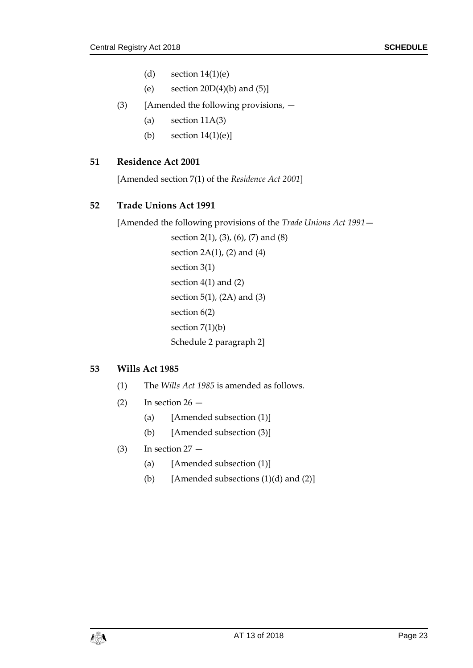- (d) section  $14(1)(e)$
- (e) section  $20D(4)(b)$  and  $(5)$ ]
- (3) [Amended the following provisions,
	- (a) section  $11A(3)$
	- (b) section  $14(1)(e)$ ]

#### **51 Residence Act 2001**

[Amended section 7(1) of the *Residence Act 2001*]

#### **52 Trade Unions Act 1991**

[Amended the following provisions of the *Trade Unions Act 1991*—

section 2(1), (3), (6), (7) and (8) section  $2A(1)$ ,  $(2)$  and  $(4)$ section 3(1) section 4(1) and (2) section 5(1), (2A) and (3) section 6(2) section  $7(1)(b)$ Schedule 2 paragraph 2]

#### **53 Wills Act 1985**

- (1) The *Wills Act 1985* is amended as follows.
- (2) In section  $26 -$ 
	- (a) [Amended subsection (1)]
	- (b) [Amended subsection (3)]
- $(3)$  In section  $27 -$ 
	- (a) [Amended subsection (1)]
	- (b) [Amended subsections  $(1)(d)$  and  $(2)$ ]